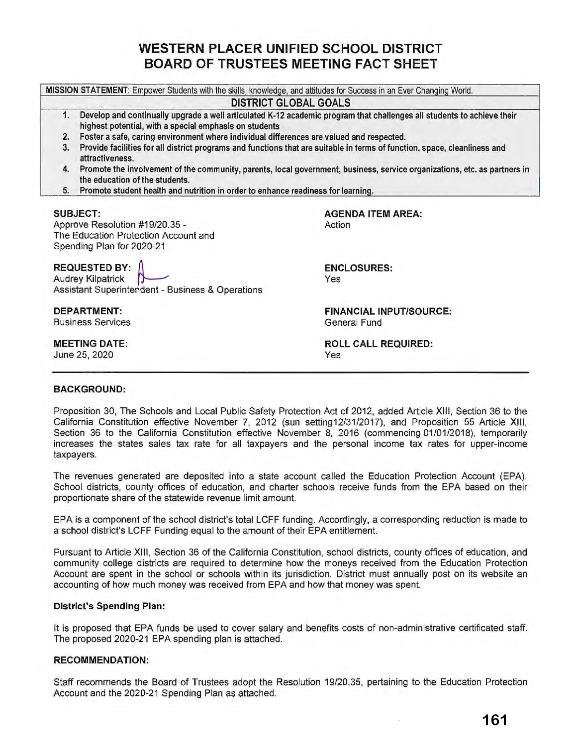# **WESTERN PLACER UNIFIED SCHOOL DISTRICT BOARD OF TRUSTEES MEETING FACT SHEET**

**MISSION STATEMENT:** Empower Students with the skills, knowledge, and attitudes for Success in an Ever Changing World.

# **DISTRICT GLOBAL GOALS**

- 1. **Develop and continually upgrade a well articulated K-12 academic program that challenges all students to achieve their highest potential, with a special emphasis on students**
- **2. Foster a safe, caring environment where individual differences are valued and respected.**
- 3. **Provide facilities for all district programs and functions that are suitable in terms of function, space, cleanliness and attractiveness.**
- **4. Promote the involvement of the community, parents, local government, business, service organizations, etc. as partners in the education of the students.**
- **5. Promote student health and nutrition in order to enhance readiness for learninQ.**

#### **SUBJECT:**

Approve Resolution #19/20.35 - The Education Protection Account and Spending Plan for 2020-21

**REQUESTED BY:** 

Audrey Kilpatrick Assistant Superintendent - Business & Operations

**DEPARTMENT:**  Business Services

**MEETING DATE:**  June 25, 2020

**AGENDA ITEM AREA:**  Action

**ENCLOSURES:**  Yes

**FINANCIAL INPUT/SOURCE:**  General Fund

**ROLL CALL REQUIRED:**  Yes

### **BACKGROUND:**

Proposition 30, The Schools and Local Public Safety Protection Act of 2012, added Article **XIII,** Section 36 to the California Constitution effective November 7, 2012 (sun setting12/31/2017), and Proposition 55 Article XIII, Section 36 to the California Constitution effective November 8, 2016 (commencing 01/01/2018), temporarily increases the states sales tax rate for all taxpayers and the personal income tax rates for upper-income taxpayers.

The revenues generated are deposited into a state account called the Education Protection Account (EPA). School districts, county offices of education, and charter schools receive funds from the EPA based on their proportionate share of the statewide revenue limit amount.

EPA is a component of the school district's total LCFF funding. Accordingly, a corresponding reduction is made to a school district's LCFF Funding equal to the amount of their EPA entitlement.

Pursuant to Article XIII, Section 36 of the California Constitution, school districts, county offices of education, and community college districts are required to determine how the moneys received from the Education Protection Account are spent in the school or schools within its jurisdiction. District must annually post on its website an accounting of how much money was received from EPA and how that money was spent.

### **District's Spending Plan:**

It is proposed that EPA funds be used to cover salary and benefits costs of non-administrative certificated staff. The proposed 2020-21 EPA spending plan is attached.

### **RECOMMENDATION:**

Staff recommends the Board of Trustees adopt the Resolution 19/20.35, pertaining to the Education Protection Account and the 2020-21 Spending Plan as attached.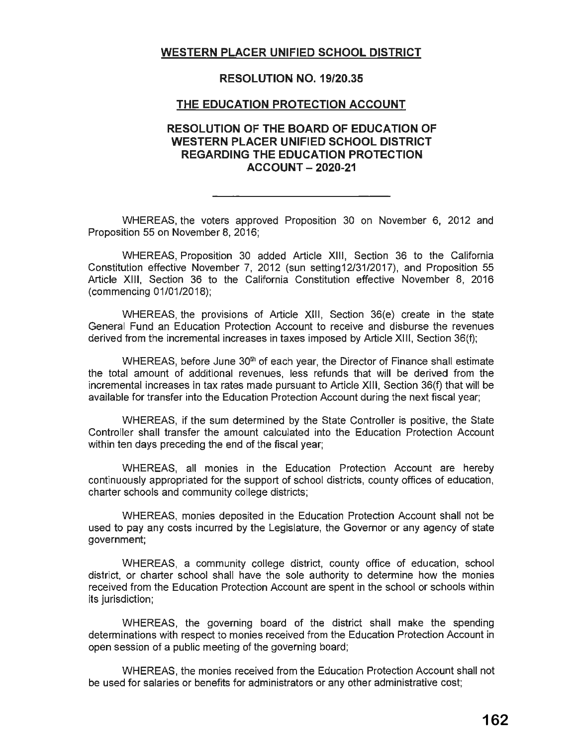## **WESTERN PLACER UNIFIED SCHOOL DISTRICT**

### **RESOLUTION NO. 19/20.35**

### **THE EDUCATION PROTECTION ACCOUNT**

### **RESOLUTION OF THE BOARD OF EDUCATION OF WESTERN PLACER UNIFIED SCHOOL DISTRICT REGARDING THE EDUCATION PROTECTION ACCOUNT - 2020-21**

WHEREAS, the voters approved Proposition 30 on November 6, 2012 and Proposition 55 on November 8, 2016;

WHEREAS, Proposition 30 added Article **XIII,** Section 36 to the California Constitution effective November 7, 2012 (sun setting12/31/2017), and Proposition 55 Article **XIII,** Section 36 to the California Constitution effective November 8, 2016 (commencing 01/01/2018);

WHEREAS, the provisions of Article **XIII ,** Section 36(e) create in the state General Fund an Education Protection Account to receive and disburse the revenues derived from the incremental increases in taxes imposed by Article **XIII,** Section 36(f);

WHEREAS, before June 30<sup>th</sup> of each year, the Director of Finance shall estimate the total amount of additional revenues, less refunds that will be derived from the incremental increases in tax rates made pursuant to Article **XIII,** Section 36(f) that will be available for transfer into the Education Protection Account during the next fiscal year;

WHEREAS, if the sum determined by the State Controller is positive, the State Controller shall transfer the amount calculated into the Education Protection Account within ten days preceding the end of the fiscal year;

WHEREAS, all monies in the Education Protection Account are hereby continuously appropriated for the support of school districts, county offices of education, charter schools and community college districts;

WHEREAS, monies deposited in the Education Protection Account shall not be used to pay any costs incurred by the Legislature, the Governor or any agency of state government;

WHEREAS, a community college district, county office of education, school district, or charter school shall have the sole authority to determine how the monies received from the Education Protection Account are spent in the school or schools within its jurisdiction;

WHEREAS, the governing board of the district shall make the spending determinations with respect to monies received from the Education Protection Account in open session of a public meeting of the governing board;

WHEREAS, the monies received from the Education Protection Account shall not be used for salaries or benefits for administrators or any other administrative cost;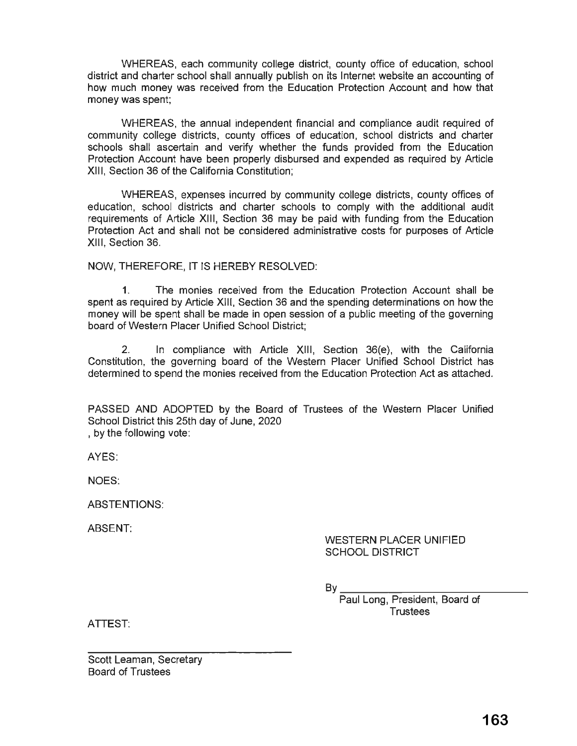WHEREAS, each community college district, county office of education, school district and charter school shall annually publish on its Internet website an accounting of how much money was received from the Education Protection Account and how that money was spent;

WHEREAS, the annual independent financial and compliance audit required of community college districts, county offices of education, school districts and charter schools shall ascertain and verify whether the funds provided from the Education Protection Account have been properly disbursed and expended as required by Article **XIII,** Section 36 of the California Constitution;

WHEREAS, expenses incurred by community college districts, county offices of education, school districts and charter schools to comply with the additional audit requirements of Article **XIII,** Section 36 may be paid with funding from the Education Protection Act and shall not be considered administrative costs for purposes of Article **XIII,** Section 36.

NOW, THEREFORE, IT IS HEREBY RESOLVED:

1. The monies received from the Education Protection Account shall be spent as required by Article XIII, Section 36 and the spending determinations on how the money will be spent shall be made in open session of a public meeting of the governing board of Western Placer Unified School District;

2. In compliance with Article XIII, Section 36(e), with the California Constitution, the governing board of the Western Placer Unified School District has determined to spend the monies received from the Education Protection Act as attached.

PASSED AND ADOPTED by the Board of Trustees of the Western Placer Unified School District this 25th day of June, 2020 , by the following vote:

AYES:

NOES:

ABSTENTIONS:

ABSENT:

WESTERN PLACER UNIFIED SCHOOL DISTRICT

 $B_V$ 

Paul Long, President, Board of **Trustees** 

ATTEST:

Scott Leaman, Secretary Board of Trustees